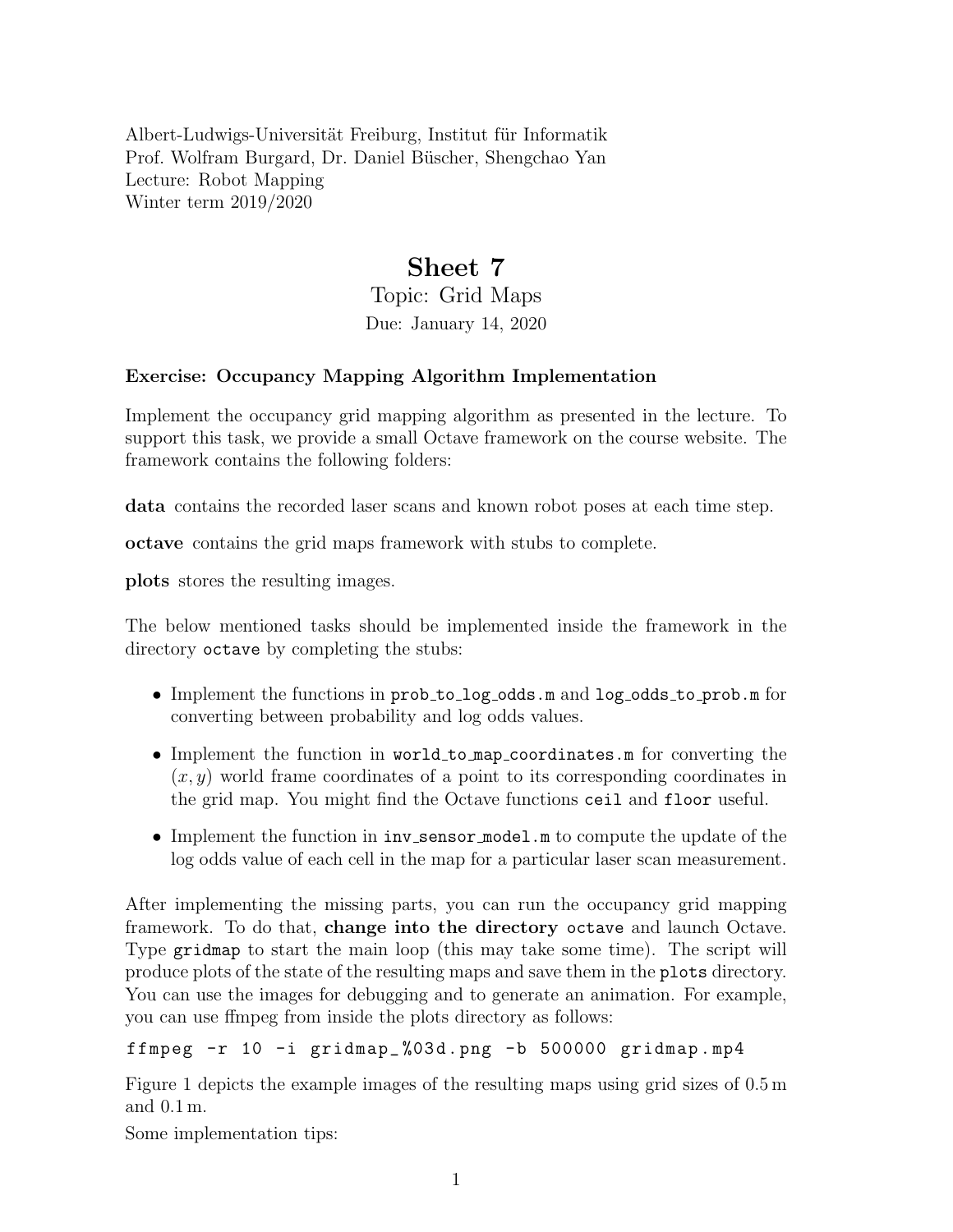Albert-Ludwigs-Universität Freiburg, Institut für Informatik Prof. Wolfram Burgard, Dr. Daniel Büscher, Shengchao Yan Lecture: Robot Mapping Winter term 2019/2020

## Sheet 7

Topic: Grid Maps Due: January 14, 2020

## Exercise: Occupancy Mapping Algorithm Implementation

Implement the occupancy grid mapping algorithm as presented in the lecture. To support this task, we provide a small Octave framework on the course website. The framework contains the following folders:

data contains the recorded laser scans and known robot poses at each time step.

octave contains the grid maps framework with stubs to complete.

plots stores the resulting images.

The below mentioned tasks should be implemented inside the framework in the directory octave by completing the stubs:

- Implement the functions in prob\_to\_log\_odds.m and log\_odds\_to\_prob.m for converting between probability and log odds values.
- Implement the function in world\_to\_map\_coordinates.m for converting the  $(x, y)$  world frame coordinates of a point to its corresponding coordinates in the grid map. You might find the Octave functions ceil and floor useful.
- Implement the function in  $inv$  sensor model.m to compute the update of the log odds value of each cell in the map for a particular laser scan measurement.

After implementing the missing parts, you can run the occupancy grid mapping framework. To do that, change into the directory octave and launch Octave. Type gridmap to start the main loop (this may take some time). The script will produce plots of the state of the resulting maps and save them in the plots directory. You can use the images for debugging and to generate an animation. For example, you can use ffmpeg from inside the plots directory as follows:

ffmpeg  $-r$  10  $-i$  gridmap\_%03d.png  $-b$  500000 gridmap.mp4

Figure [1](#page-1-0) depicts the example images of the resulting maps using grid sizes of 0.5 m and 0.1 m.

Some implementation tips: